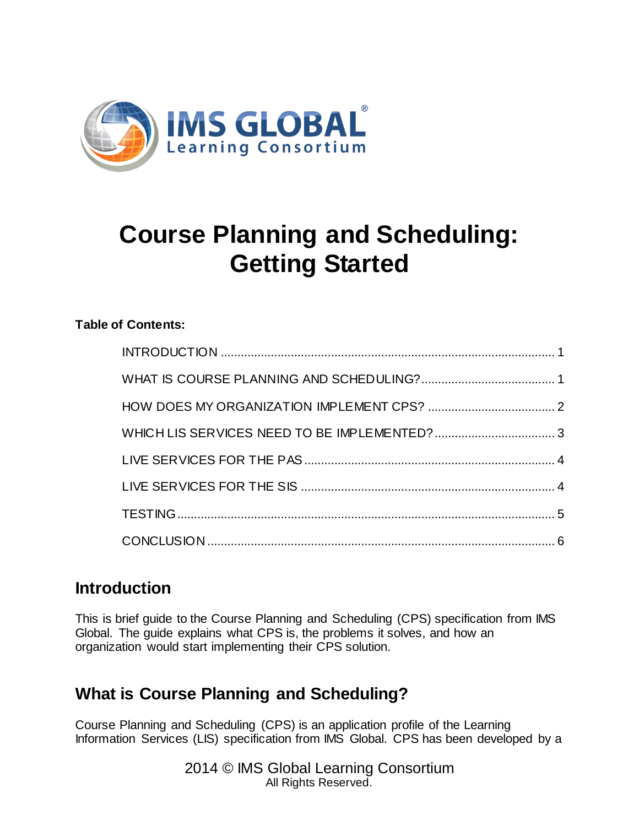

# **Course Planning and Scheduling: Getting Started**

#### **Table of Contents:**

### <span id="page-0-0"></span>**Introduction**

This is brief guide to the Course Planning and Scheduling (CPS) specification from IMS Global. The guide explains what CPS is, the problems it solves, and how an organization would start implementing their CPS solution.

# <span id="page-0-1"></span>**What is Course Planning and Scheduling?**

Course Planning and Scheduling (CPS) is an application profile of the Learning Information Services (LIS) specification from IMS Global. CPS has been developed by a

> 2014 © IMS Global Learning Consortium All Rights Reserved.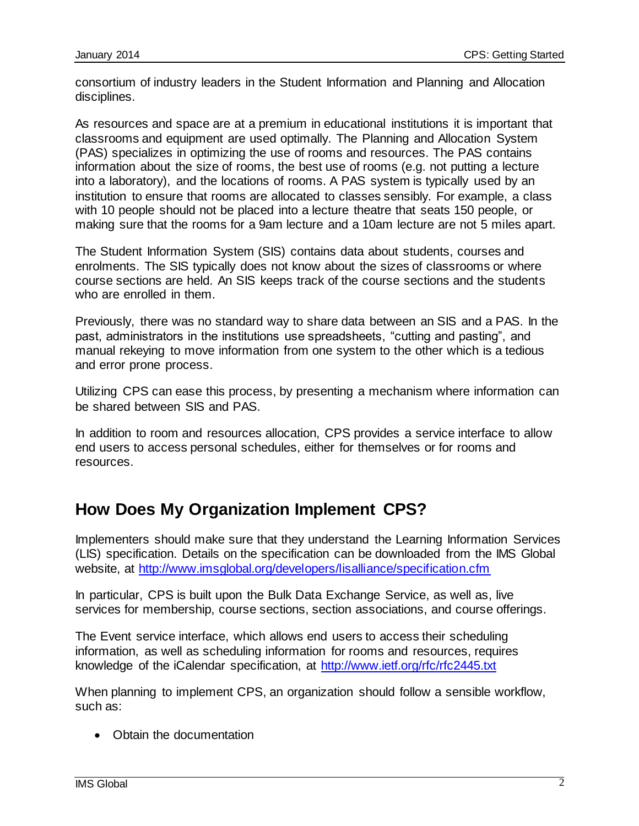consortium of industry leaders in the Student Information and Planning and Allocation disciplines.

As resources and space are at a premium in educational institutions it is important that classrooms and equipment are used optimally. The Planning and Allocation System (PAS) specializes in optimizing the use of rooms and resources. The PAS contains information about the size of rooms, the best use of rooms (e.g. not putting a lecture into a laboratory), and the locations of rooms. A PAS system is typically used by an institution to ensure that rooms are allocated to classes sensibly. For example, a class with 10 people should not be placed into a lecture theatre that seats 150 people, or making sure that the rooms for a 9am lecture and a 10am lecture are not 5 miles apart.

The Student Information System (SIS) contains data about students, courses and enrolments. The SIS typically does not know about the sizes of classrooms or where course sections are held. An SIS keeps track of the course sections and the students who are enrolled in them.

Previously, there was no standard way to share data between an SIS and a PAS. In the past, administrators in the institutions use spreadsheets, "cutting and pasting", and manual rekeying to move information from one system to the other which is a tedious and error prone process.

Utilizing CPS can ease this process, by presenting a mechanism where information can be shared between SIS and PAS.

In addition to room and resources allocation, CPS provides a service interface to allow end users to access personal schedules, either for themselves or for rooms and resources.

# <span id="page-1-0"></span>**How Does My Organization Implement CPS?**

Implementers should make sure that they understand the Learning Information Services (LIS) specification. Details on the specification can be downloaded from the IMS Global website, at<http://www.imsglobal.org/developers/lisalliance/specification.cfm>

In particular, CPS is built upon the Bulk Data Exchange Service, as well as, live services for membership, course sections, section associations, and course offerings.

The Event service interface, which allows end users to access their scheduling information, as well as scheduling information for rooms and resources, requires knowledge of the iCalendar specification, at<http://www.ietf.org/rfc/rfc2445.txt>

When planning to implement CPS, an organization should follow a sensible workflow, such as:

• Obtain the documentation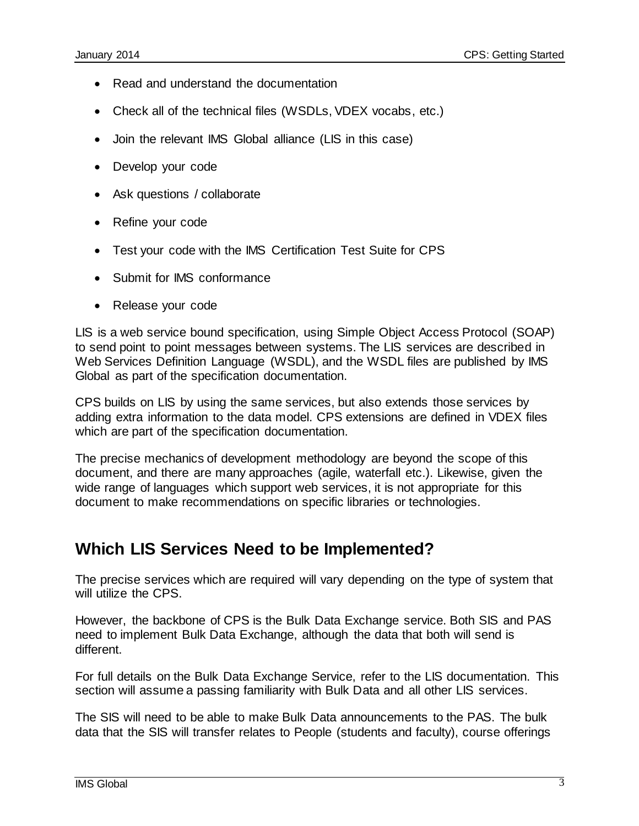- Read and understand the documentation
- Check all of the technical files (WSDLs, VDEX vocabs, etc.)
- Join the relevant IMS Global alliance (LIS in this case)
- Develop your code
- Ask questions / collaborate
- Refine your code
- Test your code with the IMS Certification Test Suite for CPS
- Submit for IMS conformance
- Release your code

LIS is a web service bound specification, using Simple Object Access Protocol (SOAP) to send point to point messages between systems. The LIS services are described in Web Services Definition Language (WSDL), and the WSDL files are published by IMS Global as part of the specification documentation.

CPS builds on LIS by using the same services, but also extends those services by adding extra information to the data model. CPS extensions are defined in VDEX files which are part of the specification documentation.

<span id="page-2-0"></span>The precise mechanics of development methodology are beyond the scope of this document, and there are many approaches (agile, waterfall etc.). Likewise, given the wide range of languages which support web services, it is not appropriate for this document to make recommendations on specific libraries or technologies.

### **Which LIS Services Need to be Implemented?**

The precise services which are required will vary depending on the type of system that will utilize the CPS.

However, the backbone of CPS is the Bulk Data Exchange service. Both SIS and PAS need to implement Bulk Data Exchange, although the data that both will send is different.

For full details on the Bulk Data Exchange Service, refer to the LIS documentation. This section will assume a passing familiarity with Bulk Data and all other LIS services.

The SIS will need to be able to make Bulk Data announcements to the PAS. The bulk data that the SIS will transfer relates to People (students and faculty), course offerings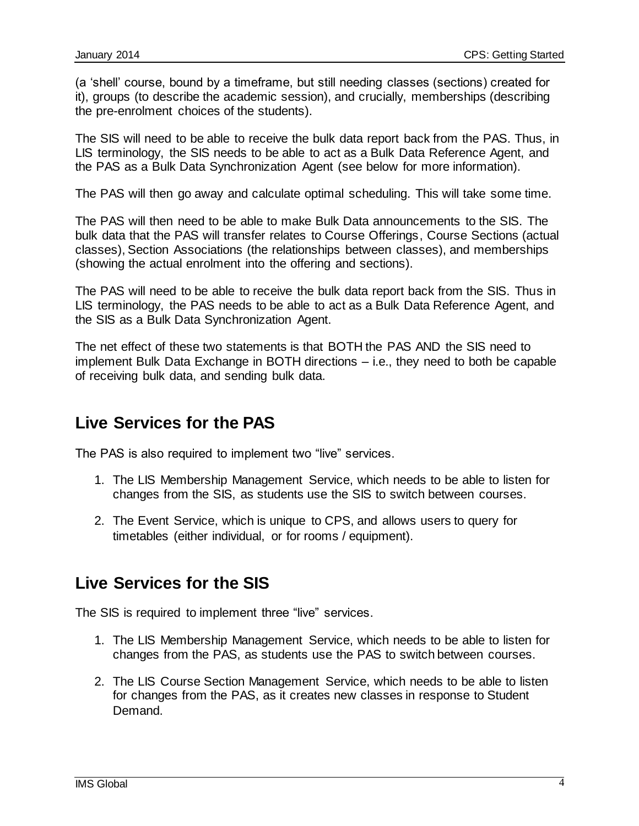(a 'shell' course, bound by a timeframe, but still needing classes (sections) created for it), groups (to describe the academic session), and crucially, memberships (describing the pre-enrolment choices of the students).

The SIS will need to be able to receive the bulk data report back from the PAS. Thus, in LIS terminology, the SIS needs to be able to act as a Bulk Data Reference Agent, and the PAS as a Bulk Data Synchronization Agent (see below for more information).

The PAS will then go away and calculate optimal scheduling. This will take some time.

The PAS will then need to be able to make Bulk Data announcements to the SIS. The bulk data that the PAS will transfer relates to Course Offerings, Course Sections (actual classes), Section Associations (the relationships between classes), and memberships (showing the actual enrolment into the offering and sections).

The PAS will need to be able to receive the bulk data report back from the SIS. Thus in LIS terminology, the PAS needs to be able to act as a Bulk Data Reference Agent, and the SIS as a Bulk Data Synchronization Agent.

The net effect of these two statements is that BOTH the PAS AND the SIS need to implement Bulk Data Exchange in BOTH directions – i.e., they need to both be capable of receiving bulk data, and sending bulk data.

# <span id="page-3-0"></span>**Live Services for the PAS**

The PAS is also required to implement two "live" services.

- 1. The LIS Membership Management Service, which needs to be able to listen for changes from the SIS, as students use the SIS to switch between courses.
- 2. The Event Service, which is unique to CPS, and allows users to query for timetables (either individual, or for rooms / equipment).

# <span id="page-3-1"></span>**Live Services for the SIS**

The SIS is required to implement three "live" services.

- 1. The LIS Membership Management Service, which needs to be able to listen for changes from the PAS, as students use the PAS to switch between courses.
- 2. The LIS Course Section Management Service, which needs to be able to listen for changes from the PAS, as it creates new classes in response to Student Demand.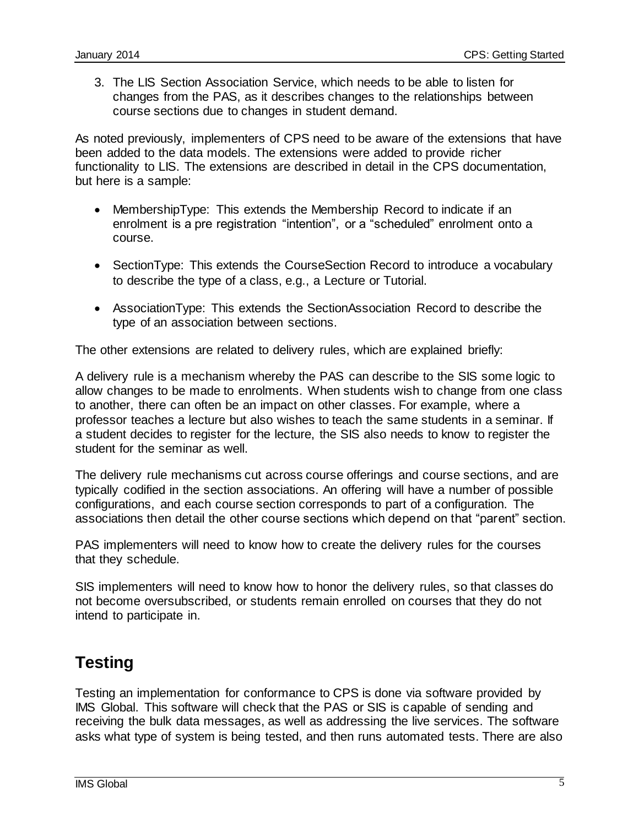3. The LIS Section Association Service, which needs to be able to listen for changes from the PAS, as it describes changes to the relationships between course sections due to changes in student demand.

As noted previously, implementers of CPS need to be aware of the extensions that have been added to the data models. The extensions were added to provide richer functionality to LIS. The extensions are described in detail in the CPS documentation, but here is a sample:

- MembershipType: This extends the Membership Record to indicate if an enrolment is a pre registration "intention", or a "scheduled" enrolment onto a course.
- SectionType: This extends the CourseSection Record to introduce a vocabulary to describe the type of a class, e.g., a Lecture or Tutorial.
- AssociationType: This extends the SectionAssociation Record to describe the type of an association between sections.

The other extensions are related to delivery rules, which are explained briefly:

A delivery rule is a mechanism whereby the PAS can describe to the SIS some logic to allow changes to be made to enrolments. When students wish to change from one class to another, there can often be an impact on other classes. For example, where a professor teaches a lecture but also wishes to teach the same students in a seminar. If a student decides to register for the lecture, the SIS also needs to know to register the student for the seminar as well.

The delivery rule mechanisms cut across course offerings and course sections, and are typically codified in the section associations. An offering will have a number of possible configurations, and each course section corresponds to part of a configuration. The associations then detail the other course sections which depend on that "parent" section.

PAS implementers will need to know how to create the delivery rules for the courses that they schedule.

SIS implementers will need to know how to honor the delivery rules, so that classes do not become oversubscribed, or students remain enrolled on courses that they do not intend to participate in.

# <span id="page-4-0"></span>**Testing**

Testing an implementation for conformance to CPS is done via software provided by IMS Global. This software will check that the PAS or SIS is capable of sending and receiving the bulk data messages, as well as addressing the live services. The software asks what type of system is being tested, and then runs automated tests. There are also